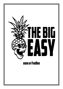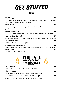## **GET STUFFED**

### **BURGS**

| <b>Big D Energy</b>                                                                                                            | 25 |
|--------------------------------------------------------------------------------------------------------------------------------|----|
| 2 x Smashed patty, 4 x American cheese, maple glazed bacon, b&b pickles, Alabama<br>white BBQ, tempura onion rings, potato bun |    |
| <b>Beazy burger</b>                                                                                                            | 17 |
| Smashed patty, American cheese, Alabama white BBQ, b&b pickles, lettuce, tomato,<br>potato bun                                 |    |
| <b>Buns + Thighs Burger</b>                                                                                                    | 18 |
| FFC Thigh, Fireball hot sauce 16%ABV, slaw, American cheese, aioli, potato bun                                                 |    |
| Crazy For Cauli Burger (v)                                                                                                     | 17 |
| FFCauliflower, Fireball hot sauce 16%ABV, slaw, American cheese, aioli, potato bun                                             |    |
| Simple Chick Burger                                                                                                            | 15 |
| FFC Thigh, American cheese, aioli, b&b pickles, potato bun                                                                     |    |
| Not Another Cheeseburger                                                                                                       | 15 |
| Smashed patty, ketchup, yellow mustard, American cheese, b&b pickles, potato bun                                               |    |
| <b>BURG Spesh</b>                                                                                                              | ?? |
| Yo, ask us what this sexy beast is.                                                                                            |    |



#### SPICY NUGGS 25 AND 2012 15 AND 2012 15

250g tenderloin nuggets, Fireball Hot Sauce 16%ABV

#### The Threesome **18**

Two boneless thighs, one tender, Fireball Hot Sauce 16%ABV GO VEGAN: Louisiana Fireball Fried Cauliflower (V) 20

Cauliflower for VEGANS and shit, Fireball Hot Sauce 16%ABV